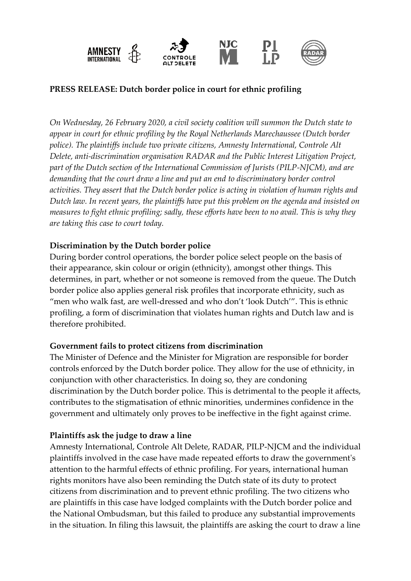

# **PRESS RELEASE: Dutch border police in court for ethnic profiling**

*On Wednesday, 26 February 2020, a civil society coalition will summon the Dutch state to appear in court for ethnic profiling by the Royal Netherlands Marechaussee (Dutch border police). The plaintiffs include two private citizens, Amnesty International, Controle Alt Delete, anti-discrimination organisation RADAR and the Public Interest Litigation Project, part of the Dutch section of the International Commission of Jurists (PILP-NJCM), and are demanding that the court draw a line and put an end to discriminatory border control activities. They assert that the Dutch border police is acting in violation of human rights and Dutch law. In recent years, the plaintiffs have put this problem on the agenda and insisted on measures to fight ethnic profiling; sadly, these efforts have been to no avail. This is why they are taking this case to court today.* 

### **Discrimination by the Dutch border police**

During border control operations, the border police select people on the basis of their appearance, skin colour or origin (ethnicity), amongst other things. This determines, in part, whether or not someone is removed from the queue. The Dutch border police also applies general risk profiles that incorporate ethnicity, such as "men who walk fast, are well-dressed and who don't 'look Dutch'". This is ethnic profiling, a form of discrimination that violates human rights and Dutch law and is therefore prohibited.

### **Government fails to protect citizens from discrimination**

The Minister of Defence and the Minister for Migration are responsible for border controls enforced by the Dutch border police. They allow for the use of ethnicity, in conjunction with other characteristics. In doing so, they are condoning discrimination by the Dutch border police. This is detrimental to the people it affects, contributes to the stigmatisation of ethnic minorities, undermines confidence in the government and ultimately only proves to be ineffective in the fight against crime.

### **Plaintiffs ask the judge to draw a line**

Amnesty International, Controle Alt Delete, RADAR, PILP-NJCM and the individual plaintiffs involved in the case have made repeated efforts to draw the government's attention to the harmful effects of ethnic profiling. For years, international human rights monitors have also been reminding the Dutch state of its duty to protect citizens from discrimination and to prevent ethnic profiling. The two citizens who are plaintiffs in this case have lodged complaints with the Dutch border police and the National Ombudsman, but this failed to produce any substantial improvements in the situation. In filing this lawsuit, the plaintiffs are asking the court to draw a line